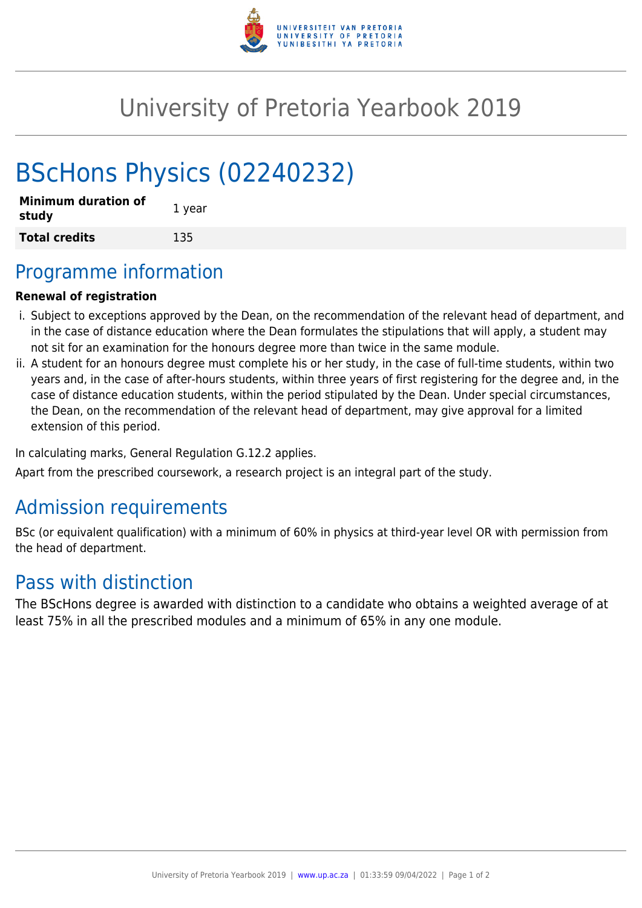

## University of Pretoria Yearbook 2019

# BScHons Physics (02240232)

| <b>Minimum duration of</b><br>study | 1 year |
|-------------------------------------|--------|
| <b>Total credits</b>                | 135    |

## Programme information

#### **Renewal of registration**

- i. Subject to exceptions approved by the Dean, on the recommendation of the relevant head of department, and in the case of distance education where the Dean formulates the stipulations that will apply, a student may not sit for an examination for the honours degree more than twice in the same module.
- ii. A student for an honours degree must complete his or her study, in the case of full-time students, within two years and, in the case of after-hours students, within three years of first registering for the degree and, in the case of distance education students, within the period stipulated by the Dean. Under special circumstances, the Dean, on the recommendation of the relevant head of department, may give approval for a limited extension of this period.

In calculating marks, General Regulation G.12.2 applies.

Apart from the prescribed coursework, a research project is an integral part of the study.

## Admission requirements

BSc (or equivalent qualification) with a minimum of 60% in physics at third-year level OR with permission from the head of department.

### Pass with distinction

The BScHons degree is awarded with distinction to a candidate who obtains a weighted average of at least 75% in all the prescribed modules and a minimum of 65% in any one module.